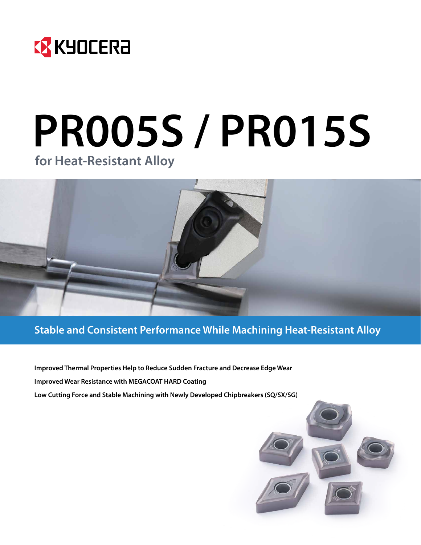

# **PR005S / PR015S for Heat-Resistant Alloy**



# **Stable and Consistent Performance While Machining Heat-Resistant Alloy**

**Improved Thermal Properties Help to Reduce Sudden Fracture and Decrease Edge Wear Improved Wear Resistance with MEGACOAT HARD Coating Low Cutting Force and Stable Machining with Newly Developed Chipbreakers (SQ/SX/SG)**

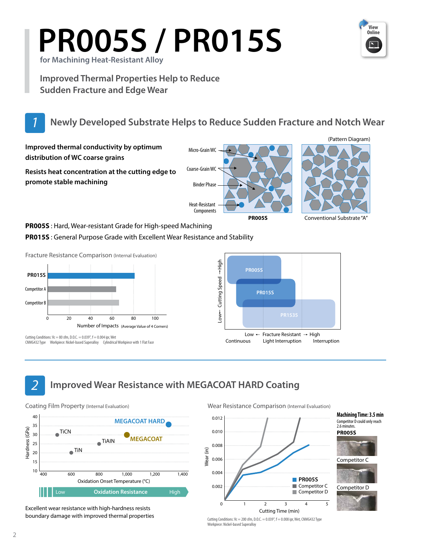# **PR005S / PR015S for Machining Heat-Resistant Alloy**



**Improved Thermal Properties Help to Reduce Sudden Fracture and Edge Wear**



# *1* **Newly Developed Substrate Helps to Reduce Sudden Fracture and Notch Wear**

**Improved thermal conductivity by optimum distribution of WC coarse grains**

**Resists heat concentration at the cutting edge to promote stable machining** 

Coarse-Grain WC

Micro-Grain WC





(Pattern Diagram)

**PR005S** Conventional Substrate "A"

**PR005S** : Hard, Wear-resistant Grade for High-speed Machining

**PR015S** : General Purpose Grade with Excellent Wear Resistance and Stability

Fracture Resistance Comparison (Internal Evaluation)



Cutting Conditions:  $Vc = 80$  sfm, D, O,  $C = 0.039$ ",  $f = 0.004$  ipr, Wet CNMG432 Type Workpiece: Nickel-based Superalloy Cylindrical Workpiece with 1 Flat Face



*2* **Improved Wear Resistance with MEGACOAT HARD Coating**



Excellent wear resistance with high-hardness resists boundary damage with improved thermal properties Wear Resistance Comparison (Internal Evaluation)



**Machining Time: 3.5 min PR005S** Competitor D could only reach 2.6 minutes.



Cutting Conditions:  $Vc = 200$  sfm, D.O.C. = 0.039",  $f = 0.008$  ipr, Wet, CNMG432 Type Workpiece: Nickel-based Superalloy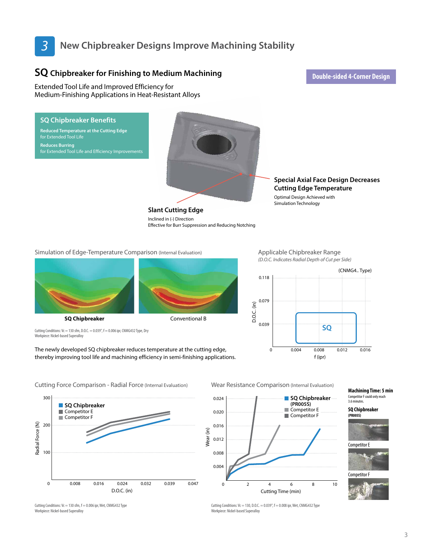# *3* **New Chipbreaker Designs Improve Machining Stability**

Inclined in (-) Direction

# **SQ** Chipbreaker for Finishing to Medium Machining<br> **Chipbreaker for Finishing to Medium Machining**

Extended Tool Life and Improved Efficiency for Medium-Finishing Applications in Heat-Resistant Alloys

**SQ Chipbreaker Benefits Reduced Temperature at the Cutting Edge** 

for Extended Tool Life and Efficiency Improvements

for Extended Tool Life **Reduces Burring** 

# **Slant Cutting Edge**

Effective for Burr Suppression and Reducing Notching

**Special Axial Face Design Decreases Cutting Edge Temperature**

Optimal Design Achieved with Simulation Technology

#### Simulation of Edge-Temperature Comparison (Internal Evaluation)



Cutting Conditions:  $Vc = 130$  sfm, D.O.C. = 0.039",  $f = 0.006$  ipr, CNMG432 Type, Dry Workpiece: Nickel-based Superalloy

The newly developed SQ chipbreaker reduces temperature at the cutting edge, thereby improving tool life and machining efficiency in semi-finishing applications. Applicable Chipbreaker Range *(D.O.C. Indicates Radial Depth of Cut per Side)*



300 **SQ Chipbreaker** Competitor E Competitor F Radial Force (N) Radial Force (N) 200 100

0 0.008 0.016 0.024 0.032 0.039 0.047 D.O.C. (in)

Cutting Force Comparison - Radial Force (Internal Evaluation) Wear Resistance Comparison (Internal Evaluation)



## Workpiece: Nickel-based Superalloy

#### **Machining Time: 5 min** Competitor F could only reach 3.6 minutes.

**SQ Chipbreaker (PR005S)**



Competitor E



Cutting Conditions:  $Vc = 130$  sfm,  $f = 0.006$  ipr. Wet, CNMG432 Type Workpiece: Nickel-based Superalloy

Cutting Conditions:  $Vc = 130, D.C. = 0.039$ ",  $f = 0.008$  ipr. Wet, CNMG432 Type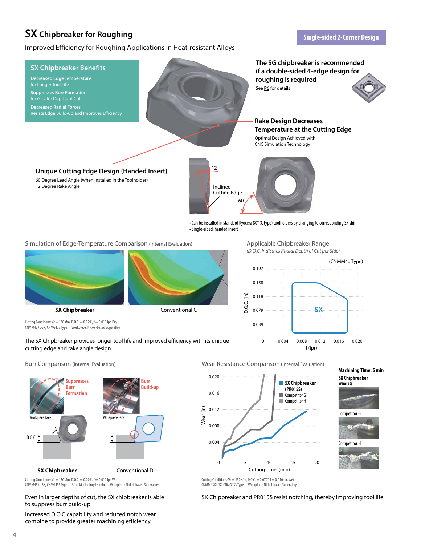# **SX** Chipbreaker for Roughing<br> **Single-sided 2-Corner Design**

Improved Efficiency for Roughing Applications in Heat-resistant Alloys



• Can be installed in standard Kyocera 80° (C type) toolholders by changing to corresponding SX shim • Single-sided, handed insert

Simulation of Edge-Temperature Comparison (Internal Evaluation)



Cutting Conditions:  $Vc = 130$  sfm, D.O.C. = 0.079",  $f = 0.010$  ipr, Dry CNMM43XL-SX, CNMG433 Type Workpiece: Nickel-based Superalloy



0.020

0.016

0.012

Wear (in)

0.008

0.004

Applicable Chipbreaker Range *(D.O.C. Indicates Radial Depth of Cut per Side)*



**SX Chipbreaker (PR015S) Competitor G** Competitor H

cutting edge and rake angle design





The SX Chipbreaker provides longer tool life and improved efficiency with its unique

Cutting Conditions:  $Vc = 130$  sfm, D.O.C. = 0.079",  $f = 0.010$  ipr, Wet CNMM43XL-SX, CNMG433 Type After Machining 9.4 min. Workpiece: Nickel-based Superalloy

Even in larger depths of cut, the SX chipbreaker is able to suppress burr build-up

Increased D.O.C capability and reduced notch wear combine to provide greater machining efficiency



0 5 10 15 20 Cutting Time (min)

**Machining Time: 5 min SX Chipbreaker**







Cutting Conditions:  $Vc = 130$  sfm, D.O.C. = 0.079",  $f = 0.010$  ipr, Wet CNMM43XL-SX, CNMG433 Type Workpiece: Nickel-based Superalloy

SX Chipbreaker and PR015S resist notching, thereby improving tool life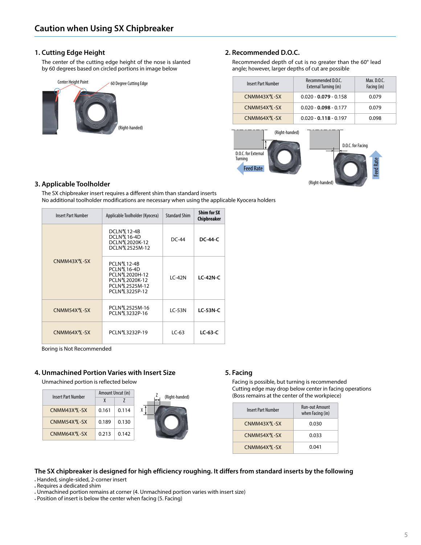#### **1. Cutting Edge Height**

The center of the cutting edge height of the nose is slanted by 60 degrees based on circled portions in image below



#### **2. Recommended D.O.C.**

Recommended depth of cut is no greater than the 60° lead angle; however, larger depths of cut are possible

| <b>Insert Part Number</b> | Recommended D.O.C.<br>External Turning (in) | Max. D.O.C.<br>Facing (in) |
|---------------------------|---------------------------------------------|----------------------------|
| CNMM43X \SL-SX            | $0.020 - 0.079 - 0.158$                     | 0.079                      |
| CNMM54X \& -SX            | $0.020 - 0.098 - 0.177$                     | 0.079                      |
| CNMM64X \S-SX             | $0.020 - 0.118 - 0.197$                     | 0.098                      |



#### **3. Applicable Toolholder**

The SX chipbreaker insert requires a different shim than standard inserts No additional toolholder modifications are necessary when using the applicable Kyocera holders

| <b>Insert Part Number</b> | Applicable Toolholder (Kyocera)                                                                                 | <b>Standard Shim</b> | <b>Shim for SX</b><br>Chipbreaker |
|---------------------------|-----------------------------------------------------------------------------------------------------------------|----------------------|-----------------------------------|
| CNMM43X <sup>R</sup> -SX  | DCLN \ 12-4B<br>DCLN % 16-4D<br>DCLN % 2020K-12<br>DCLN % 2525M-12                                              | $DC-44$              | <b>DC-44-C</b>                    |
|                           | <b>PCLN % 12-4B</b><br>PCLN % 16-4D<br>PCLN % 2020H-12<br>PCLN % 2020K-12<br>PCLN % 2525M-12<br>PCLN % 3225P-12 | $LC-42N$             | <b>LC-42N-C</b>                   |
| CNMM54X <sup>R</sup> L-SX | PCLN % 2525M-16<br>PCLN%3232P-16                                                                                | $LC-53N$             | $LC-53N-C$                        |
| CNMM64X <sup>R</sup> L-SX | PCLN % 3232P-19                                                                                                 | $LC-63$              | $LC-63-C$                         |

Letternal Union<br>Boring is Not Recommended

#### **4. Unmachined Portion Varies with Insert Size**

Unmachined portion is reflected below

| <b>Insert Part Number</b> |       | Amount Uncut (in) | (Right-handed) |
|---------------------------|-------|-------------------|----------------|
|                           | χ     |                   | ⊷              |
| CNMM43X \SL-SX            | 0.161 | 0.114             |                |
| CNMM54X \S-SX             | 0.189 | 0.130             |                |
| CNMM64X \S-SX             | 0.213 | 0.142             |                |

#### **5. Facing**

Facing is possible, but turning is recommended Cutting edge may drop below center in facing operations (Boss remains at the center of the workpiece)

| Insert Part Number | <b>Run-out Amount</b><br>when Facing (in) |
|--------------------|-------------------------------------------|
| CNMM43X \SL-SX     | 0.030                                     |
| CNMM54X \S-SX      | 0.033                                     |
| CNMM64X \S-SX      | 0.041                                     |

#### **The SX chipbreaker is designed for high efficiency roughing. It differs from standard inserts by the following**

Handed, single-sided, 2-corner insert

Requires a dedicated shim

Unmachined portion remains at corner (4. Unmachined portion varies with insert size)

Position of insert is below the center when facing (5. Facing)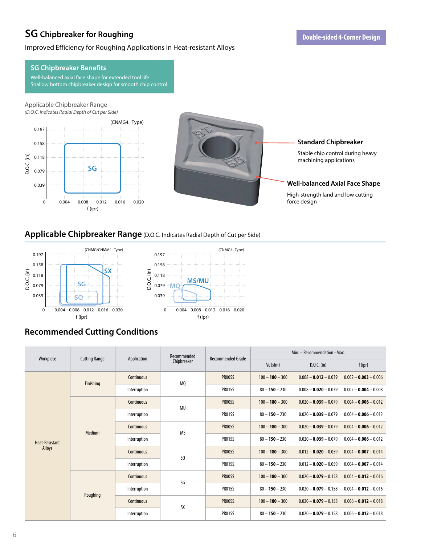# **SG** Chipbreaker for Roughing<br> **Company Constant Constant Constant Open Expansion of The Double-sided 4-Corner Design**

#### Improved Efficiency for Roughing Applications in Heat-resistant Alloys

## **SG Chipbreaker Benefits**

Well-balanced axial face shape for extended tool life Shallow bottom chipbreaker design for smooth chip control

#### Applicable Chipbreaker Range *(D.O.C. Indicates Radial Depth of Cut per Side)*





#### **Standard Chipbreaker**

Stable chip control during heavy machining applications

#### **Well-balanced Axial Face Shape**

High-strength land and low cutting

### **Applicable Chipbreaker Range** (D.O.C. Indicates Radial Depth of Cut per Side)



# **Recommended Cutting Conditions**

| Workpiece             | <b>Cutting Range</b> | Application  | Recommended | <b>Recommended Grade</b> | Min. - Recommendation - Max. |                         |                         |  |  |
|-----------------------|----------------------|--------------|-------------|--------------------------|------------------------------|-------------------------|-------------------------|--|--|
|                       |                      |              | Chipbreaker |                          | $Vc$ (sfm)                   | $D.O.C.$ (in)           | $f$ (ipr)               |  |  |
|                       | Finishing            | Continuous   | MQ          | <b>PR005S</b>            | $100 - 180 - 300$            | $0.008 - 0.012 - 0.039$ | $0.002 - 0.003 - 0.006$ |  |  |
|                       |                      | Interruption |             | <b>PR015S</b>            | $80 - 150 - 230$             | $0.008 - 0.020 - 0.039$ | $0.002 - 0.004 - 0.008$ |  |  |
|                       |                      | Continuous   | MU          | <b>PR005S</b>            | $100 - 180 - 300$            | $0.020 - 0.039 - 0.079$ | $0.004 - 0.006 - 0.012$ |  |  |
|                       |                      | Interruption |             | <b>PR015S</b>            | $80 - 150 - 230$             | $0.020 - 0.039 - 0.079$ | $0.004 - 0.006 - 0.012$ |  |  |
|                       | Medium               | Continuous   | <b>MS</b>   | <b>PR005S</b>            | $100 - 180 - 300$            | $0.020 - 0.039 - 0.079$ | $0.004 - 0.006 - 0.012$ |  |  |
| <b>Heat-Resistant</b> |                      | Interruption |             | <b>PR015S</b>            | $80 - 150 - 230$             | $0.020 - 0.039 - 0.079$ | $0.004 - 0.006 - 0.012$ |  |  |
| Alloys                |                      | Continuous   | SQ          | <b>PR005S</b>            | $100 - 180 - 300$            | $0.012 - 0.020 - 0.059$ | $0.004 - 0.007 - 0.014$ |  |  |
|                       |                      | Interruption |             | <b>PR015S</b>            | $80 - 150 - 230$             | $0.012 - 0.020 - 0.059$ | $0.004 - 0.007 - 0.014$ |  |  |
|                       | Roughing             | Continuous   | SG          | <b>PR005S</b>            | $100 - 180 - 300$            | $0.020 - 0.079 - 0.158$ | $0.004 - 0.012 - 0.016$ |  |  |
|                       |                      | Interruption |             | <b>PR015S</b>            | $80 - 150 - 230$             | $0.020 - 0.079 - 0.158$ | $0.004 - 0.012 - 0.016$ |  |  |
|                       |                      | Continuous   | <b>SX</b>   | <b>PR005S</b>            | $100 - 180 - 300$            | $0.020 - 0.079 - 0.158$ | $0.006 - 0.012 - 0.018$ |  |  |
|                       |                      | Interruption |             | <b>PR015S</b>            | $80 - 150 - 230$             | $0.020 - 0.079 - 0.158$ | $0.006 - 0.012 - 0.018$ |  |  |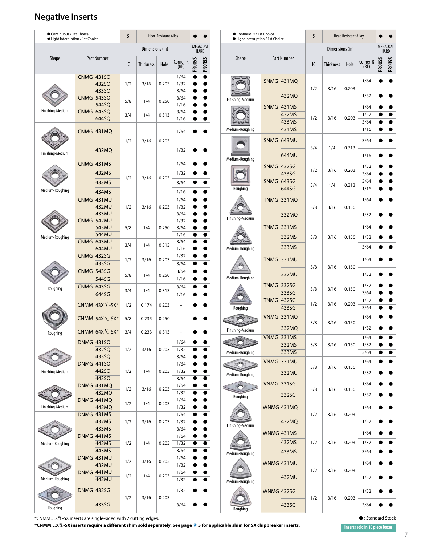# **Negative Inserts**

| Continuous / 1st Choice<br>● Light Interruption / 1st Choice |                                                 | Continuous / 1st Choice<br>S<br>S<br><b>Heat-Resistant Alloy</b><br><b>Heat-Resistant Alloy</b><br>$\bullet$<br>● Light Interruption / 1st Choice |                  |                                                   | c                      |                                                                            |                  |                              |     |                         |       |                      |                        |               |
|--------------------------------------------------------------|-------------------------------------------------|---------------------------------------------------------------------------------------------------------------------------------------------------|------------------|---------------------------------------------------|------------------------|----------------------------------------------------------------------------|------------------|------------------------------|-----|-------------------------|-------|----------------------|------------------------|---------------|
|                                                              |                                                 |                                                                                                                                                   |                  | <b>MEGACOAT</b><br>Dimensions (in)<br><b>HARD</b> |                        |                                                                            | Dimensions (in)  |                              |     | MEGACOAT<br><b>HARD</b> |       |                      |                        |               |
| <b>Shape</b>                                                 | <b>Part Number</b>                              | IC                                                                                                                                                | <b>Thickness</b> | Hole                                              | Corner-R<br>(RE)       | <b>PR015S</b><br><b>PR005S</b>                                             | <b>Shape</b>     | Part Number                  | IC  | <b>Thickness</b>        | Hole  | Corner-R<br>(RE)     | <b>PR005S</b>          | <b>PRO15S</b> |
|                                                              | <b>CNMG 431SQ</b><br>432SQ<br>433SQ             | 1/2                                                                                                                                               | 3/16             | 0.203                                             | 1/64<br>1/32<br>3/64   | $\bullet$<br>$\bullet$<br>$\bullet$<br>$\bullet$<br>$\bullet$<br>0         |                  | SNMG 431MQ                   | 1/2 | 3/16                    | 0.203 | 1/64                 |                        |               |
| Finishing-Medium                                             | <b>CNMG 543SQ</b><br>544SQ<br><b>CNMG 643SQ</b> | 5/8                                                                                                                                               | 1/4              | 0.250                                             | 3/64<br>1/16<br>3/64   | $\bullet$<br>$\bullet$<br>$\bullet$<br>$\bullet$<br>o                      | Finishing-Medium | 432MQ<br>SNMG 431MS          |     |                         |       | 1/32<br>1/64<br>1/32 |                        |               |
|                                                              | 644SQ<br>CNMG 431MQ                             | 3/4                                                                                                                                               | 1/4              | 0.313                                             | 1/16<br>1/64           |                                                                            | Medium-Roughing  | 432MS<br>433MS<br>434MS      | 1/2 | 3/16                    | 0.203 | 3/64<br>1/16         | $\bullet$              |               |
| Finishing-Medium                                             | 432MQ                                           | 1/2                                                                                                                                               | 3/16             | 0.203                                             | 1/32                   | œ                                                                          |                  | SNMG 643MU<br>644MU          | 3/4 | 1/4                     | 0.313 | 3/64<br>1/16         |                        |               |
|                                                              | CNMG 431MS                                      |                                                                                                                                                   |                  |                                                   | 1/64                   | $\bullet$                                                                  | Medium-Roughing  | <b>SNMG 432SG</b>            |     |                         |       | 1/32                 |                        |               |
|                                                              | 432MS<br>433MS                                  | 1/2                                                                                                                                               | 3/16             | 0.203                                             | 1/32<br>3/64           | $\bullet$<br>$\bullet$                                                     |                  | 433SG<br><b>SNMG 643SG</b>   | 1/2 | 3/16                    | 0.203 | 3/64<br>3/64         |                        |               |
| Medium-Roughing                                              | 434MS                                           |                                                                                                                                                   |                  |                                                   | 1/16                   | $\bullet$<br>0                                                             | Roughing         | 644SG                        | 3/4 | 1/4                     | 0.313 | 1/16                 |                        |               |
|                                                              | CNMG 431MU<br>432MU<br>433MU                    | 1/2                                                                                                                                               | 3/16             | 0.203                                             | 1/64<br>1/32<br>3/64   | $\bullet$<br>0<br>$\bullet$<br>$\bullet$<br>●                              | Finishing-Medium | <b>TNMG 331MQ</b><br>332MQ   | 3/8 | 3/16                    | 0.150 | 1/64<br>1/32         |                        |               |
| Medium-Roughing                                              | CNMG 542MU<br>543MU<br>544MU                    | 5/8                                                                                                                                               | 1/4              | 0.250                                             | 1/32<br>3/64<br>1/16   | $\bullet$<br>$\bullet$<br>$\bullet$<br>$\bullet$<br>e                      |                  | <b>TNMG 331MS</b><br>332MS   | 3/8 | 3/16                    | 0.150 | 1/64<br>1/32         |                        |               |
|                                                              | CNMG 643MU<br>644MU                             | 3/4                                                                                                                                               | 1/4              | 0.313                                             | 3/64<br>1/16           | $\bullet$<br>$\bullet$<br>$\bullet$<br>$\bullet$                           | Medium-Roughing  | 333MS                        |     |                         |       | 3/64                 |                        |               |
|                                                              | <b>CNMG 432SG</b><br>433SG<br><b>CNMG 543SG</b> | 1/2                                                                                                                                               | 3/16             | 0.203                                             | 1/32<br>3/64<br>3/64   | $\bullet$<br>$\bullet$                                                     |                  | TNMG 331MU                   | 3/8 | 3/16                    | 0.150 | 1/64                 |                        |               |
|                                                              | 544SG                                           | 5/8                                                                                                                                               | 1/4              | 0.250                                             | 1/16                   | $\bullet$<br>$\bullet$                                                     | Medium-Roughing  | 332MU<br><b>TNMG 332SG</b>   |     |                         |       | 1/32<br>1/32         |                        |               |
| Roughing                                                     | <b>CNMG 643SG</b><br>644SG                      | 3/4                                                                                                                                               | 1/4              | 0.313                                             | 3/64<br>1/16           | $\bullet$<br>●<br>$\bullet$                                                |                  | 333SG<br><b>TNMG 432SG</b>   | 3/8 | 3/16                    | 0.150 | 3/64<br>1/32         |                        |               |
|                                                              | CNMM 43X 12-SX*                                 | 1/2                                                                                                                                               | 0.174            | 0.203                                             | $\qquad \qquad -$      |                                                                            | Roughing         | 433SG                        | 1/2 | 3/16                    | 0.203 | 3/64                 |                        |               |
|                                                              | <b>CNMM 54X 16-SX*</b>                          | 5/8                                                                                                                                               | 0.235            | 0.250                                             | $\qquad \qquad -$      |                                                                            |                  | VNMG 331MQ<br>332MQ          | 3/8 | 3/16                    | 0.150 | 1/64<br>1/32         |                        |               |
| Roughing                                                     | CNMM 64X \' - SX*<br><b>DNMG 431SQ</b>          | 3/4                                                                                                                                               | 0.233            | 0.313                                             | $\overline{a}$<br>1/64 |                                                                            | Finishing-Medium | VNMG 331MS<br>332MS          | 3/8 | 3/16                    | 0.150 | 1/64<br>1/32         |                        | $\bullet$     |
|                                                              | 432SQ<br>433SQ<br>DNMG 441SQ                    | 1/2                                                                                                                                               | 3/16             | 0.203                                             | 1/32<br>3/64<br>1/64   | $\bullet$<br>$\bullet$<br>$\bullet$<br>$\bullet$<br>$\bullet$              | Medium-Roughing  | 333MS<br>VNMG 331MU          |     |                         |       | 3/64<br>1/64         |                        |               |
| Finishing-Medium                                             | 442SQ<br>443SQ                                  | 1/2                                                                                                                                               | 1/4              | 0.203                                             | 1/32<br>3/64           | $\bullet$<br>$\bullet$<br>$\bullet$                                        | Medium-Roughing  | 332MU                        | 3/8 | 3/16                    | 0.150 | 1/32                 |                        |               |
|                                                              | DNMG 431MQ<br>432MQ                             | 1/2                                                                                                                                               | 3/16             | 0.203                                             | 1/64<br>1/32           | $\bullet$<br>$\bullet$<br>$\bullet$<br>$\bullet$                           | EO E<br>Roughing | <b>VNMG 331SG</b><br>332SG   | 3/8 | 3/16                    | 0.150 | 1/64<br>1/32         |                        |               |
| Finishing-Medium                                             | DNMG 441MQ<br>442MQ<br>DNMG 431MS               | 1/2                                                                                                                                               | 1/4              | 0.203                                             | 1/64<br>1/32<br>1/64   | $\bullet$<br>$\bullet$<br>$\bullet$<br>$\bullet$                           |                  | WNMG 431MQ                   | 1/2 | 3/16                    | 0.203 | 1/64                 |                        |               |
|                                                              | 432MS<br>433MS                                  | 1/2                                                                                                                                               | 3/16             | 0.203                                             | 1/32<br>3/64           | $\bullet$<br>$\bullet$<br>$\bullet$<br>●                                   | Finishing-Medium | 432MQ                        |     |                         |       | 1/32                 |                        |               |
| Medium-Roughing                                              | DNMG 441MS<br>442MS<br>443MS                    | 1/2                                                                                                                                               | 1/4              | 0.203                                             | 1/64<br>1/32<br>3/64   | $\bullet$<br>$\bullet$<br>$\bullet$<br>$\bullet$<br>$\bullet$<br>$\bullet$ |                  | WNMG 431MS<br>432MS<br>433MS | 1/2 | 3/16                    | 0.203 | 1/64<br>1/32<br>3/64 | $\bullet$<br>$\bullet$ |               |
|                                                              | DNMG 431MU<br>432MU                             | 1/2                                                                                                                                               | 3/16             | 0.203                                             | 1/64<br>1/32           | $\bullet$<br>$\bullet$                                                     | Medium-Roughing  | WNMG 431MU                   | 1/2 | 3/16                    | 0.203 | 1/64                 | $\bullet$              |               |
| Medium-Roughing                                              | DNMG 441MU<br>442MU                             | 1/2                                                                                                                                               | 1/4              | 0.203                                             | 1/64<br>1/32           | $\bullet$<br>$\bullet$<br>$\bullet$<br>$\bullet$                           | Medium-Roughing  | 432MU                        |     |                         |       | 1/32                 |                        |               |
|                                                              | <b>DNMG 432SG</b>                               | 1/2                                                                                                                                               | 3/16             | 0.203                                             | 1/32                   |                                                                            |                  | <b>WNMG 432SG</b>            | 1/2 | 3/16                    | 0.203 | 1/32                 |                        |               |
| Roughing                                                     | 433SG                                           |                                                                                                                                                   |                  |                                                   | 3/64                   |                                                                            | Roughing         | 433SG                        |     |                         |       | 3/64                 |                        |               |

\*CNMM…X§-SX inserts are single-sided with 2 cutting edges.

**\*CNMM…X§-SX inserts require a different shim sold seperately. See page � 5 for applicable shim for SX chipbreaker inserts. Inserts sold in 10 piece boxes**

Þ : Standard Stock